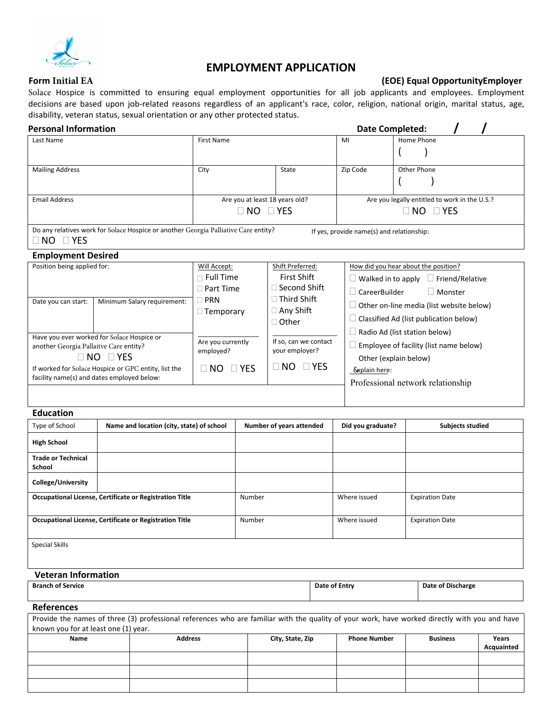

# **EMPLOYMENT APPLICATION**

## **Form Initial EA (EOE) Equal OpportunityEmployer**

Solace Hospice is committed to ensuring equal employment opportunities for all job applicants and employees. Employment decisions are based upon job-related reasons regardless of an applicant's race, color, religion, national origin, marital status, age, disability, veteran status, sexual orientation or any other protected status.

# **Personal Information Date Completed:** */* **/**

| Last Name                                            |                                                                                     | <b>First Name</b>                                                                                                                       |                               | MI                                        | Home Phone                                          |  |  |
|------------------------------------------------------|-------------------------------------------------------------------------------------|-----------------------------------------------------------------------------------------------------------------------------------------|-------------------------------|-------------------------------------------|-----------------------------------------------------|--|--|
|                                                      |                                                                                     |                                                                                                                                         |                               |                                           |                                                     |  |  |
|                                                      |                                                                                     |                                                                                                                                         |                               |                                           |                                                     |  |  |
| <b>Mailing Address</b>                               |                                                                                     | City                                                                                                                                    | State                         | Zip Code                                  | Other Phone                                         |  |  |
|                                                      |                                                                                     |                                                                                                                                         |                               |                                           |                                                     |  |  |
|                                                      |                                                                                     |                                                                                                                                         |                               |                                           |                                                     |  |  |
| <b>Email Address</b>                                 |                                                                                     | Are you at least 18 years old?                                                                                                          |                               |                                           | Are you legally entitled to work in the U.S.?       |  |  |
|                                                      |                                                                                     | $\Box$ NO $\Box$ YES                                                                                                                    |                               |                                           | $\Box$ NO $\Box$ YES                                |  |  |
|                                                      |                                                                                     |                                                                                                                                         |                               |                                           |                                                     |  |  |
|                                                      | Do any relatives work for Solace Hospice or another Georgia Palliative Care entity? |                                                                                                                                         |                               | If yes, provide name(s) and relationship: |                                                     |  |  |
| $\Box$ NO $\Box$ YES                                 |                                                                                     |                                                                                                                                         |                               |                                           |                                                     |  |  |
|                                                      |                                                                                     |                                                                                                                                         |                               |                                           |                                                     |  |  |
| <b>Employment Desired</b>                            |                                                                                     |                                                                                                                                         |                               |                                           |                                                     |  |  |
| Position being applied for:                          |                                                                                     | Will Accept:                                                                                                                            | Shift Preferred:              |                                           | How did you hear about the position?                |  |  |
|                                                      |                                                                                     | Full Time                                                                                                                               | First Shift                   |                                           | $\Box$ Friend/Relative<br>$\Box$ Walked in to apply |  |  |
|                                                      |                                                                                     | $\Box$ Part Time                                                                                                                        | $\sqsupset$ Second Shift .    | CareerBuilder<br>    Monster              |                                                     |  |  |
| Minimum Salary requirement:<br>Date you can start:   |                                                                                     | $\Box$ PRN                                                                                                                              | $\sqcap$ Third Shift $\sqcap$ |                                           |                                                     |  |  |
|                                                      |                                                                                     | $\Box$ Temporary                                                                                                                        | $\Box$ Any Shift              |                                           | Other on-line media (list website below)            |  |  |
|                                                      |                                                                                     |                                                                                                                                         | $\Box$ Other                  |                                           | Classified Ad (list publication below)              |  |  |
|                                                      |                                                                                     |                                                                                                                                         |                               |                                           |                                                     |  |  |
| Have you ever worked for Solace Hospice or           |                                                                                     | Are you currently                                                                                                                       | If so, can we contact         |                                           |                                                     |  |  |
| another Georgia Pallaitve Care entity?               |                                                                                     | employed?                                                                                                                               | your employer?                |                                           | Other (explain below)                               |  |  |
| $\Box$ NO $\Box$ YES                                 |                                                                                     |                                                                                                                                         |                               |                                           |                                                     |  |  |
| If worked for Solace Hospice or GPC entity, list the |                                                                                     | $\Box$ NO $\Box$ YES                                                                                                                    | 7xplain here:                 |                                           |                                                     |  |  |
| facility name(s) and dates employed below:           |                                                                                     |                                                                                                                                         |                               |                                           |                                                     |  |  |
|                                                      |                                                                                     | Radio Ad (list station below)<br>Employee of facility (list name below)<br>$\Box$ NO<br>$\Box$ YES<br>Professional network relationship |                               |                                           |                                                     |  |  |

#### **Education**

| Type of School                                          | Name and location (city, state) of school | Number of years attended | Did you graduate? | <b>Subjects studied</b> |
|---------------------------------------------------------|-------------------------------------------|--------------------------|-------------------|-------------------------|
| <b>High School</b>                                      |                                           |                          |                   |                         |
| <b>Trade or Technical</b><br>School                     |                                           |                          |                   |                         |
| <b>College/University</b>                               |                                           |                          |                   |                         |
| Occupational License, Certificate or Registration Title |                                           | Number                   | Where issued      | <b>Expiration Date</b>  |
| Occupational License, Certificate or Registration Title |                                           | Number                   | Where issued      | <b>Expiration Date</b>  |
| <b>Special Skills</b>                                   |                                           |                          |                   |                         |

## **Veteran Information**

| $\sim$<br>Branch<br>ı of Service<br>. | Date of Entry | <b>Date of Discharge</b><br>. |
|---------------------------------------|---------------|-------------------------------|
|                                       |               |                               |

## **References**

| Provide the names of three (3) professional references who are familiar with the quality of your work, have worked directly with you and have |                |                  |                     |                 |            |  |
|-----------------------------------------------------------------------------------------------------------------------------------------------|----------------|------------------|---------------------|-----------------|------------|--|
| known you for at least one (1) year.                                                                                                          |                |                  |                     |                 |            |  |
| Name                                                                                                                                          | <b>Address</b> | City, State, Zip | <b>Phone Number</b> | <b>Business</b> | Years      |  |
|                                                                                                                                               |                |                  |                     |                 | Acquainted |  |
|                                                                                                                                               |                |                  |                     |                 |            |  |
|                                                                                                                                               |                |                  |                     |                 |            |  |
|                                                                                                                                               |                |                  |                     |                 |            |  |
|                                                                                                                                               |                |                  |                     |                 |            |  |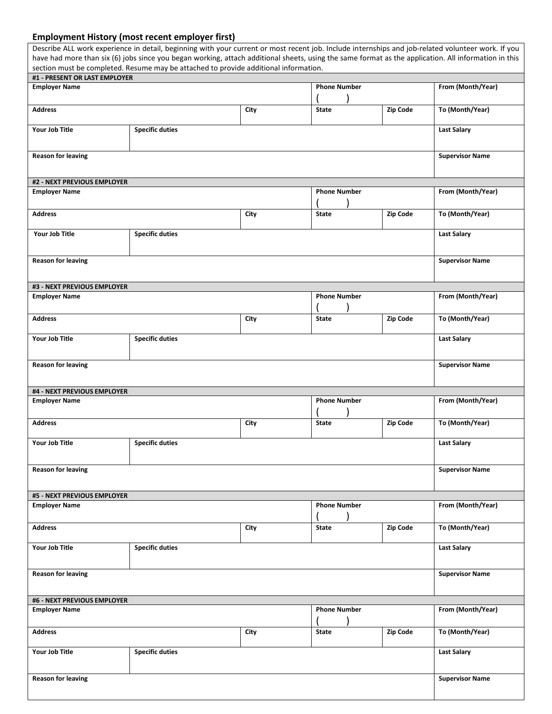### **Employment History (most recent employer first)**

| Describe ALL work experience in detail, beginning with your current or most recent job. Include internships and job-related volunteer work. If you |                                                                                                                                                      |             |                     |          |                        |
|----------------------------------------------------------------------------------------------------------------------------------------------------|------------------------------------------------------------------------------------------------------------------------------------------------------|-------------|---------------------|----------|------------------------|
|                                                                                                                                                    | have had more than six (6) jobs since you began working, attach additional sheets, using the same format as the application. All information in this |             |                     |          |                        |
|                                                                                                                                                    | section must be completed. Resume may be attached to provide additional information.                                                                 |             |                     |          |                        |
| #1 - PRESENT OR LAST EMPLOYER                                                                                                                      |                                                                                                                                                      |             |                     |          |                        |
| <b>Employer Name</b>                                                                                                                               |                                                                                                                                                      |             | <b>Phone Number</b> |          | From (Month/Year)      |
| <b>Address</b>                                                                                                                                     |                                                                                                                                                      | City        | <b>State</b>        | Zip Code | To (Month/Year)        |
| Your Job Title                                                                                                                                     | <b>Specific duties</b>                                                                                                                               |             |                     |          | <b>Last Salary</b>     |
| <b>Reason for leaving</b>                                                                                                                          |                                                                                                                                                      |             |                     |          | <b>Supervisor Name</b> |
| #2 - NEXT PREVIOUS EMPLOYER                                                                                                                        |                                                                                                                                                      |             |                     |          |                        |
| <b>Employer Name</b>                                                                                                                               |                                                                                                                                                      |             | <b>Phone Number</b> |          | From (Month/Year)      |
| <b>Address</b>                                                                                                                                     |                                                                                                                                                      | City        | <b>State</b>        | Zip Code | To (Month/Year)        |
| Your Job Title                                                                                                                                     | <b>Specific duties</b>                                                                                                                               |             |                     |          | <b>Last Salary</b>     |
| <b>Reason for leaving</b>                                                                                                                          |                                                                                                                                                      |             |                     |          | <b>Supervisor Name</b> |
| #3 - NEXT PREVIOUS EMPLOYER                                                                                                                        |                                                                                                                                                      |             |                     |          |                        |
| <b>Employer Name</b>                                                                                                                               |                                                                                                                                                      |             | <b>Phone Number</b> |          | From (Month/Year)      |
| <b>Address</b>                                                                                                                                     |                                                                                                                                                      | City        | <b>State</b>        | Zip Code | To (Month/Year)        |
| Your Job Title                                                                                                                                     | <b>Specific duties</b>                                                                                                                               |             |                     |          | <b>Last Salary</b>     |
| <b>Reason for leaving</b>                                                                                                                          |                                                                                                                                                      |             |                     |          | <b>Supervisor Name</b> |
| #4 - NEXT PREVIOUS EMPLOYER                                                                                                                        |                                                                                                                                                      |             |                     |          |                        |
| <b>Employer Name</b>                                                                                                                               |                                                                                                                                                      |             | <b>Phone Number</b> |          | From (Month/Year)      |
| <b>Address</b>                                                                                                                                     |                                                                                                                                                      | <b>City</b> | <b>State</b>        | Zip Code | To (Month/Year)        |
| Your Job Title                                                                                                                                     | <b>Specific duties</b>                                                                                                                               |             |                     |          | <b>Last Salary</b>     |
| <b>Reason for leaving</b>                                                                                                                          |                                                                                                                                                      |             |                     |          | <b>Supervisor Name</b> |
| #5 - NEXT PREVIOUS EMPLOYER                                                                                                                        |                                                                                                                                                      |             |                     |          |                        |
| <b>Employer Name</b>                                                                                                                               |                                                                                                                                                      |             | <b>Phone Number</b> |          | From (Month/Year)      |
| <b>Address</b>                                                                                                                                     |                                                                                                                                                      | City        | <b>State</b>        | Zip Code | To (Month/Year)        |
| Your Job Title                                                                                                                                     | <b>Specific duties</b>                                                                                                                               |             |                     |          | <b>Last Salary</b>     |
| <b>Reason for leaving</b>                                                                                                                          |                                                                                                                                                      |             |                     |          | <b>Supervisor Name</b> |
| #6 - NEXT PREVIOUS EMPLOYER                                                                                                                        |                                                                                                                                                      |             |                     |          |                        |
| <b>Employer Name</b>                                                                                                                               |                                                                                                                                                      |             | <b>Phone Number</b> |          | From (Month/Year)      |
| <b>Address</b>                                                                                                                                     |                                                                                                                                                      | City        | <b>State</b>        | Zip Code | To (Month/Year)        |
| Your Job Title                                                                                                                                     | <b>Specific duties</b>                                                                                                                               |             |                     |          | <b>Last Salary</b>     |
| <b>Reason for leaving</b>                                                                                                                          |                                                                                                                                                      |             |                     |          | <b>Supervisor Name</b> |